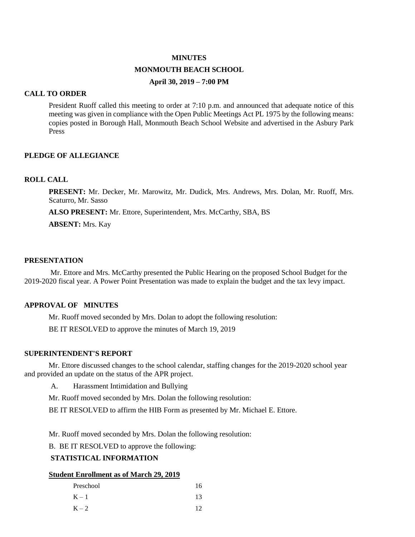### **MINUTES**

#### **MONMOUTH BEACH SCHOOL**

### **April 30, 2019 – 7:00 PM**

### **CALL TO ORDER**

President Ruoff called this meeting to order at 7:10 p.m. and announced that adequate notice of this meeting was given in compliance with the Open Public Meetings Act PL 1975 by the following means: copies posted in Borough Hall, Monmouth Beach School Website and advertised in the Asbury Park Press

### **PLEDGE OF ALLEGIANCE**

# **ROLL CALL**

**PRESENT:** Mr. Decker, Mr. Marowitz, Mr. Dudick, Mrs. Andrews, Mrs. Dolan, Mr. Ruoff, Mrs. Scaturro, Mr. Sasso

 **ALSO PRESENT:** Mr. Ettore, Superintendent, Mrs. McCarthy, SBA, BS

**ABSENT:** Mrs. Kay

### **PRESENTATION**

Mr. Ettore and Mrs. McCarthy presented the Public Hearing on the proposed School Budget for the 2019-2020 fiscal year. A Power Point Presentation was made to explain the budget and the tax levy impact.

### **APPROVAL OF MINUTES**

Mr. Ruoff moved seconded by Mrs. Dolan to adopt the following resolution:

BE IT RESOLVED to approve the minutes of March 19, 2019

#### **SUPERINTENDENT'S REPORT**

Mr. Ettore discussed changes to the school calendar, staffing changes for the 2019-2020 school year and provided an update on the status of the APR project.

A. Harassment Intimidation and Bullying

Mr. Ruoff moved seconded by Mrs. Dolan the following resolution:

BE IT RESOLVED to affirm the HIB Form as presented by Mr. Michael E. Ettore.

Mr. Ruoff moved seconded by Mrs. Dolan the following resolution:

B. BE IT RESOLVED to approve the following:

# **STATISTICAL INFORMATION**

#### **Student Enrollment as of March 29, 2019**

| Preschool | 16 |
|-----------|----|
| $K-1$     | 13 |
| $K - 2$   | 12 |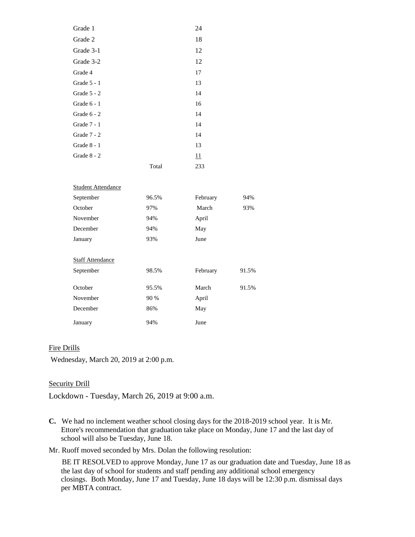| Grade 1       |       | 24  |
|---------------|-------|-----|
| Grade 2       |       | 18  |
| Grade 3-1     |       | 12  |
| Grade 3-2     |       | 12  |
| Grade 4       |       | 17  |
| Grade $5 - 1$ |       | 13  |
| Grade $5 - 2$ |       | 14  |
| Grade 6 - 1   |       | 16  |
| Grade $6 - 2$ |       | 14  |
| Grade $7 - 1$ |       | 14  |
| Grade 7 - 2   |       | 14  |
| Grade $8 - 1$ |       | 13  |
| Grade 8 - 2   |       | 11  |
|               | Total | 233 |

| <b>Student Attendance</b> |       |          |       |
|---------------------------|-------|----------|-------|
| September                 | 96.5% | February | 94%   |
| October                   | 97%   | March    | 93%   |
| November                  | 94%   | April    |       |
| December                  | 94%   | May      |       |
| January                   | 93%   | June     |       |
|                           |       |          |       |
| <b>Staff Attendance</b>   |       |          |       |
| September                 | 98.5% | February | 91.5% |
|                           |       |          |       |
| October                   | 95.5% | March    | 91.5% |
| November                  | 90 %  | April    |       |
| December                  | 86%   | May      |       |
| January                   | 94%   | June     |       |

# Fire Drills

Wednesday, March 20, 2019 at 2:00 p.m.

### Security Drill

Lockdown - Tuesday, March 26, 2019 at 9:00 a.m.

**C.** We had no inclement weather school closing days for the 2018-2019 school year. It is Mr. Ettore's recommendation that graduation take place on Monday, June 17 and the last day of school will also be Tuesday, June 18.

Mr. Ruoff moved seconded by Mrs. Dolan the following resolution:

 BE IT RESOLVED to approve Monday, June 17 as our graduation date and Tuesday, June 18 as the last day of school for students and staff pending any additional school emergency closings. Both Monday, June 17 and Tuesday, June 18 days will be 12:30 p.m. dismissal days per MBTA contract.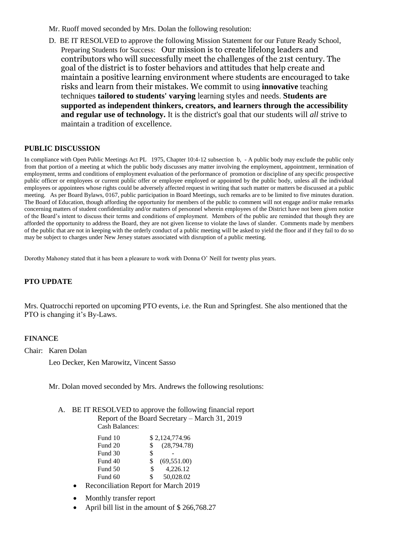- Mr. Ruoff moved seconded by Mrs. Dolan the following resolution:
- D. BE IT RESOLVED to approve the following Mission Statement for our Future Ready School, Preparing Students for Success: Our mission is to create lifelong leaders and contributors who will successfully meet the challenges of the 21st century. The goal of the district is to foster behaviors and attitudes that help create and maintain a positive learning environment where students are encouraged to take risks and learn from their mistakes. We commit to using **innovative** teaching techniques **tailored to students' varying** learning styles and needs. **Students are supported as independent thinkers, creators, and learners through the accessibility and regular use of technology.** It is the district's goal that our students will *all* strive to maintain a tradition of excellence.

### **PUBLIC DISCUSSION**

In compliance with Open Public Meetings Act PL 1975, Chapter 10:4-12 subsection b, - A public body may exclude the public only from that portion of a meeting at which the public body discusses any matter involving the employment, appointment, termination of employment, terms and conditions of employment evaluation of the performance of promotion or discipline of any specific prospective public officer or employees or current public offer or employee employed or appointed by the public body, unless all the individual employees or appointees whose rights could be adversely affected request in writing that such matter or matters be discussed at a public meeting. As per Board Bylaws, 0167, public participation in Board Meetings, such remarks are to be limited to five minutes duration. The Board of Education, though affording the opportunity for members of the public to comment will not engage and/or make remarks concerning matters of student confidentiality and/or matters of personnel wherein employees of the District have not been given notice of the Board's intent to discuss their terms and conditions of employment. Members of the public are reminded that though they are afforded the opportunity to address the Board, they are not given license to violate the laws of slander. Comments made by members of the public that are not in keeping with the orderly conduct of a public meeting will be asked to yield the floor and if they fail to do so may be subject to charges under New Jersey statues associated with disruption of a public meeting.

Dorothy Mahoney stated that it has been a pleasure to work with Donna O' Neill for twenty plus years.

# **PTO UPDATE**

Mrs. Quatrocchi reported on upcoming PTO events, i.e. the Run and Springfest. She also mentioned that the PTO is changing it's By-Laws.

### **FINANCE**

Chair: Karen Dolan

Leo Decker, Ken Marowitz, Vincent Sasso

Mr. Dolan moved seconded by Mrs. Andrews the following resolutions:

A. BE IT RESOLVED to approve the following financial report Report of the Board Secretary – March 31, 2019

Cash Balances:

| Fund 10 | \$2,124,774.96      |  |
|---------|---------------------|--|
| Fund 20 | (28, 794.78)<br>\$. |  |
| Fund 30 | \$                  |  |
| Fund 40 | (69, 551.00)<br>\$. |  |
| Fund 50 | 4.226.12<br>\$.     |  |
| Fund 60 | 50.028.02<br>\$     |  |

- Reconciliation Report for March 2019
- Monthly transfer report
- April bill list in the amount of \$ 266,768.27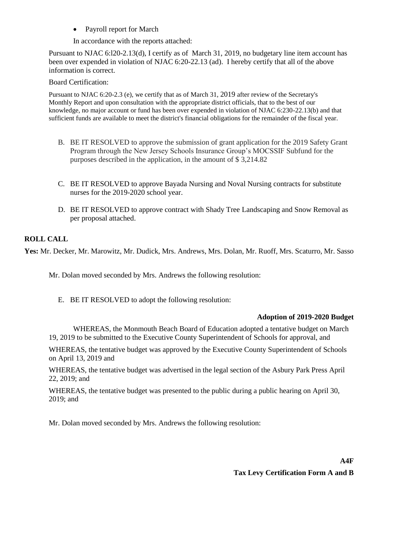• Payroll report for March

In accordance with the reports attached:

Pursuant to NJAC 6:l20-2.13(d), I certify as of March 31, 2019, no budgetary line item account has been over expended in violation of NJAC 6:20-22.13 (ad). I hereby certify that all of the above information is correct.

# Board Certification:

Pursuant to NJAC 6:20-2.3 (e), we certify that as of March 31, 2019 after review of the Secretary's Monthly Report and upon consultation with the appropriate district officials, that to the best of our knowledge, no major account or fund has been over expended in violation of NJAC 6:230-22.13(b) and that sufficient funds are available to meet the district's financial obligations for the remainder of the fiscal year.

- B. BE IT RESOLVED to approve the submission of grant application for the 2019 Safety Grant Program through the New Jersey Schools Insurance Group's MOCSSIF Subfund for the purposes described in the application, in the amount of \$ 3,214.82
- C. BE IT RESOLVED to approve Bayada Nursing and Noval Nursing contracts for substitute nurses for the 2019-2020 school year.
- D. BE IT RESOLVED to approve contract with Shady Tree Landscaping and Snow Removal as per proposal attached.

# **ROLL CALL**

**Yes:** Mr. Decker, Mr. Marowitz, Mr. Dudick, Mrs. Andrews, Mrs. Dolan, Mr. Ruoff, Mrs. Scaturro, Mr. Sasso

Mr. Dolan moved seconded by Mrs. Andrews the following resolution:

E. BE IT RESOLVED to adopt the following resolution:

# **Adoption of 2019-2020 Budget**

WHEREAS, the Monmouth Beach Board of Education adopted a tentative budget on March 19, 2019 to be submitted to the Executive County Superintendent of Schools for approval, and

WHEREAS, the tentative budget was approved by the Executive County Superintendent of Schools on April 13, 2019 and

WHEREAS, the tentative budget was advertised in the legal section of the Asbury Park Press April 22, 2019; and

WHEREAS, the tentative budget was presented to the public during a public hearing on April 30, 2019; and

Mr. Dolan moved seconded by Mrs. Andrews the following resolution:

**Tax Levy Certification Form A and B**

**A4F**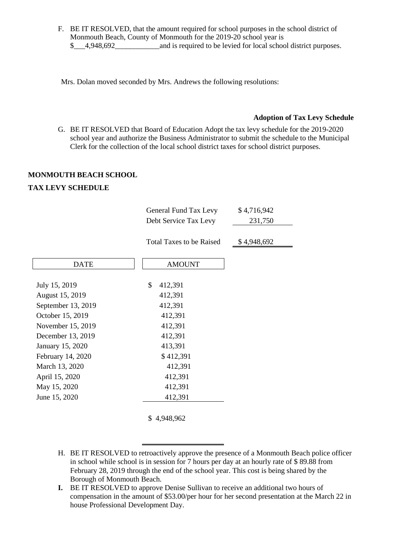F. BE IT RESOLVED, that the amount required for school purposes in the school district of Monmouth Beach, County of Monmouth for the 2019-20 school year is \$ 4,948,692 and is required to be levied for local school district purposes.

Mrs. Dolan moved seconded by Mrs. Andrews the following resolutions:

### **Adoption of Tax Levy Schedule**

G. BE IT RESOLVED that Board of Education Adopt the tax levy schedule for the 2019-2020 school year and authorize the Business Administrator to submit the schedule to the Municipal Clerk for the collection of the local school district taxes for school district purposes.

### **MONMOUTH BEACH SCHOOL**

# **TAX LEVY SCHEDULE**

|                    | General Fund Tax Levy<br>Debt Service Tax Levy | \$4,716,942<br>231,750 |
|--------------------|------------------------------------------------|------------------------|
|                    | <b>Total Taxes to be Raised</b>                | \$4,948,692            |
| <b>DATE</b>        | <b>AMOUNT</b>                                  |                        |
| July 15, 2019      | \$<br>412,391                                  |                        |
| August 15, 2019    | 412,391                                        |                        |
| September 13, 2019 | 412,391                                        |                        |
| October 15, 2019   | 412,391                                        |                        |
| November 15, 2019  | 412,391                                        |                        |
| December 13, 2019  | 412,391                                        |                        |
| January 15, 2020   | 413,391                                        |                        |
| February 14, 2020  | \$412,391                                      |                        |
| March 13, 2020     | 412,391                                        |                        |
| April 15, 2020     | 412,391                                        |                        |
| May 15, 2020       | 412,391                                        |                        |
| June 15, 2020      | 412,391                                        |                        |
|                    |                                                |                        |

\$ 4,948,962

- H. BE IT RESOLVED to retroactively approve the presence of a Monmouth Beach police officer in school while school is in session for 7 hours per day at an hourly rate of \$ 89.88 from February 28, 2019 through the end of the school year. This cost is being shared by the Borough of Monmouth Beach.
- **I.** BE IT RESOLVED to approve Denise Sullivan to receive an additional two hours of compensation in the amount of \$53.00/per hour for her second presentation at the March 22 in house Professional Development Day.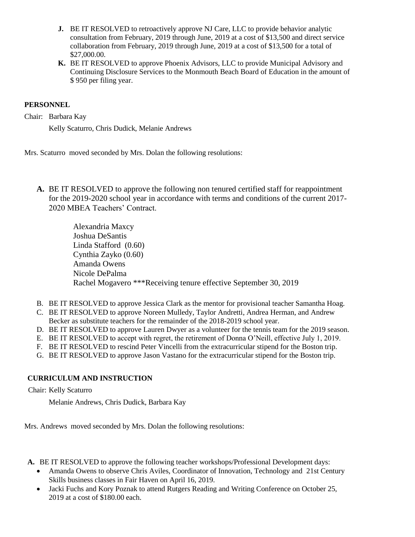- **J.** BE IT RESOLVED to retroactively approve NJ Care, LLC to provide behavior analytic consultation from February, 2019 through June, 2019 at a cost of \$13,500 and direct service collaboration from February, 2019 through June, 2019 at a cost of \$13,500 for a total of \$27,000.00.
- **K.** BE IT RESOLVED to approve Phoenix Advisors, LLC to provide Municipal Advisory and Continuing Disclosure Services to the Monmouth Beach Board of Education in the amount of \$ 950 per filing year.

# **PERSONNEL**

Chair: Barbara Kay

Kelly Scaturro, Chris Dudick, Melanie Andrews

Mrs. Scaturro moved seconded by Mrs. Dolan the following resolutions:

**A.** BE IT RESOLVED to approve the following non tenured certified staff for reappointment for the 2019-2020 school year in accordance with terms and conditions of the current 2017- 2020 MBEA Teachers' Contract.

> Alexandria Maxcy Joshua DeSantis Linda Stafford (0.60) Cynthia Zayko (0.60) Amanda Owens Nicole DePalma Rachel Mogavero \*\*\*Receiving tenure effective September 30, 2019

- B. BE IT RESOLVED to approve Jessica Clark as the mentor for provisional teacher Samantha Hoag.
- C. BE IT RESOLVED to approve Noreen Mulledy, Taylor Andretti, Andrea Herman, and Andrew Becker as substitute teachers for the remainder of the 2018-2019 school year.
- D. BE IT RESOLVED to approve Lauren Dwyer as a volunteer for the tennis team for the 2019 season.
- E. BE IT RESOLVED to accept with regret, the retirement of Donna O'Neill, effective July 1, 2019.
- F. BE IT RESOLVED to rescind Peter Vincelli from the extracurricular stipend for the Boston trip.
- G. BE IT RESOLVED to approve Jason Vastano for the extracurricular stipend for the Boston trip.

# **CURRICULUM AND INSTRUCTION**

Chair: Kelly Scaturro

Melanie Andrews, Chris Dudick, Barbara Kay

Mrs. Andrews moved seconded by Mrs. Dolan the following resolutions:

- **A.** BE IT RESOLVED to approve the following teacher workshops/Professional Development days:
	- Amanda Owens to observe Chris Aviles, Coordinator of Innovation, Technology and 21st Century Skills business classes in Fair Haven on April 16, 2019.
	- Jacki Fuchs and Kory Poznak to attend Rutgers Reading and Writing Conference on October 25, 2019 at a cost of \$180.00 each.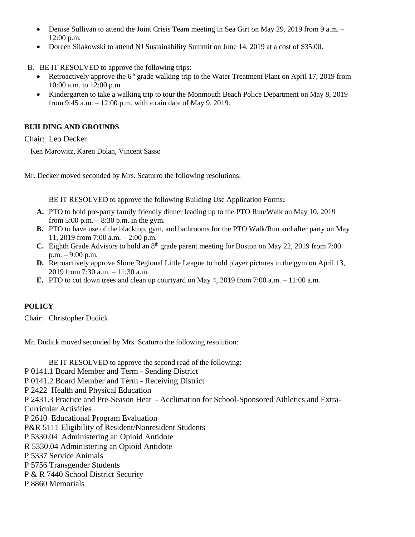- Denise Sullivan to attend the Joint Crisis Team meeting in Sea Girt on May 29, 2019 from 9 a.m. 12:00 p.m.
- Doreen Silakowski to attend NJ Sustainability Summit on June 14, 2019 at a cost of \$35.00.

B. BE IT RESOLVED to approve the following trips:

- Retroactively approve the 6<sup>th</sup> grade walking trip to the Water Treatment Plant on April 17, 2019 from 10:00 a.m. to 12:00 p.m.
- Kindergarten to take a walking trip to tour the Monmouth Beach Police Department on May 8, 2019 from 9:45 a.m. – 12:00 p.m. with a rain date of May 9, 2019.

# **BUILDING AND GROUNDS**

Chair: Leo Decker

Ken Marowitz, Karen Dolan, Vincent Sasso

Mr. Decker moved seconded by Mrs. Scaturro the following resolutions:

BE IT RESOLVED to approve the following Building Use Application Forms**:** 

- **A.** PTO to hold pre-party family friendly dinner leading up to the PTO Run/Walk on May 10, 2019 from 5:00 p.m. – 8:30 p.m. in the gym.
- **B.** PTO to have use of the blacktop, gym, and bathrooms for the PTO Walk/Run and after party on May 11, 2019 from 7:00 a.m. – 2:00 p.m.
- **C.** Eighth Grade Advisors to hold an 8th grade parent meeting for Boston on May 22, 2019 from 7:00 p.m. – 9:00 p.m.
- **D.** Retroactively approve Shore Regional Little League to hold player pictures in the gym on April 13, 2019 from 7:30 a.m. – 11:30 a.m.
- **E.** PTO to cut down trees and clean up courtyard on May 4, 2019 from 7:00 a.m. 11:00 a.m.

# **POLICY**

Chair: Christopher Dudick

Mr. Dudick moved seconded by Mrs. Scaturro the following resolution:

BE IT RESOLVED to approve the second read of the following: P 0141.1 Board Member and Term - Sending District P 0141.2 Board Member and Term - Receiving District P 2422 Health and Physical Education P 2431.3 Practice and Pre-Season Heat - Acclimation for School-Sponsored Athletics and Extra-Curricular Activities P 2610 Educational Program Evaluation P&R 5111 Eligibility of Resident/Nonresident Students P 5330.04 Administering an Opioid Antidote R 5330.04 Administering an Opioid Antidote P 5337 Service Animals P 5756 Transgender Students P & R 7440 School District Security P 8860 Memorials